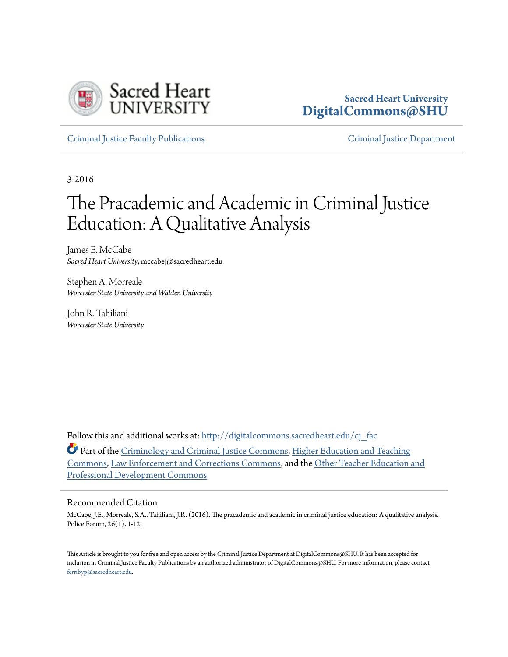

# **Sacred Heart University [DigitalCommons@SHU](http://digitalcommons.sacredheart.edu?utm_source=digitalcommons.sacredheart.edu%2Fcj_fac%2F16&utm_medium=PDF&utm_campaign=PDFCoverPages)**

[Criminal Justice Faculty Publications](http://digitalcommons.sacredheart.edu/cj_fac?utm_source=digitalcommons.sacredheart.edu%2Fcj_fac%2F16&utm_medium=PDF&utm_campaign=PDFCoverPages) [Criminal Justice Department](http://digitalcommons.sacredheart.edu/cj?utm_source=digitalcommons.sacredheart.edu%2Fcj_fac%2F16&utm_medium=PDF&utm_campaign=PDFCoverPages)

3-2016

# The Pracademic and Academic in Criminal Justice Education: A Qualitative Analysis

James E. McCabe *Sacred Heart University*, mccabej@sacredheart.edu

Stephen A. Morreale *Worcester State University and Walden University*

John R. Tahiliani *Worcester State University*

Follow this and additional works at: [http://digitalcommons.sacredheart.edu/cj\\_fac](http://digitalcommons.sacredheart.edu/cj_fac?utm_source=digitalcommons.sacredheart.edu%2Fcj_fac%2F16&utm_medium=PDF&utm_campaign=PDFCoverPages)

Part of the [Criminology and Criminal Justice Commons](http://network.bepress.com/hgg/discipline/367?utm_source=digitalcommons.sacredheart.edu%2Fcj_fac%2F16&utm_medium=PDF&utm_campaign=PDFCoverPages), [Higher Education and Teaching](http://network.bepress.com/hgg/discipline/806?utm_source=digitalcommons.sacredheart.edu%2Fcj_fac%2F16&utm_medium=PDF&utm_campaign=PDFCoverPages) [Commons,](http://network.bepress.com/hgg/discipline/806?utm_source=digitalcommons.sacredheart.edu%2Fcj_fac%2F16&utm_medium=PDF&utm_campaign=PDFCoverPages) [Law Enforcement and Corrections Commons,](http://network.bepress.com/hgg/discipline/854?utm_source=digitalcommons.sacredheart.edu%2Fcj_fac%2F16&utm_medium=PDF&utm_campaign=PDFCoverPages) and the [Other Teacher Education and](http://network.bepress.com/hgg/discipline/810?utm_source=digitalcommons.sacredheart.edu%2Fcj_fac%2F16&utm_medium=PDF&utm_campaign=PDFCoverPages) [Professional Development Commons](http://network.bepress.com/hgg/discipline/810?utm_source=digitalcommons.sacredheart.edu%2Fcj_fac%2F16&utm_medium=PDF&utm_campaign=PDFCoverPages)

#### Recommended Citation

McCabe, J.E., Morreale, S.A., Tahiliani, J.R. (2016). The pracademic and academic in criminal justice education: A qualitative analysis. Police Forum, 26(1), 1-12.

This Article is brought to you for free and open access by the Criminal Justice Department at DigitalCommons@SHU. It has been accepted for inclusion in Criminal Justice Faculty Publications by an authorized administrator of DigitalCommons@SHU. For more information, please contact [ferribyp@sacredheart.edu](mailto:ferribyp@sacredheart.edu).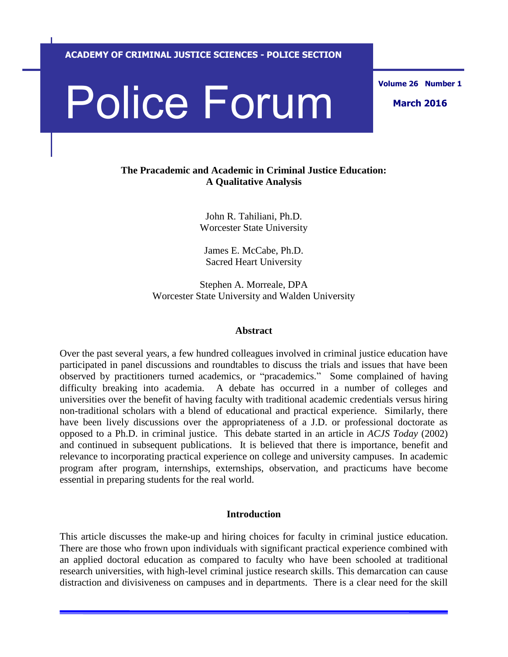**ACADEMY OF CRIMINAL JUSTICE SCIENCES - POLICE SECTION**

# Police Forum March 2016

# **The Pracademic and Academic in Criminal Justice Education: A Qualitative Analysis**

John R. Tahiliani, Ph.D. Worcester State University

James E. McCabe, Ph.D. Sacred Heart University

Stephen A. Morreale, DPA Worcester State University and Walden University

#### **Abstract**

Over the past several years, a few hundred colleagues involved in criminal justice education have participated in panel discussions and roundtables to discuss the trials and issues that have been observed by practitioners turned academics, or "pracademics." Some complained of having difficulty breaking into academia. A debate has occurred in a number of colleges and universities over the benefit of having faculty with traditional academic credentials versus hiring non-traditional scholars with a blend of educational and practical experience. Similarly, there have been lively discussions over the appropriateness of a J.D. or professional doctorate as opposed to a Ph.D. in criminal justice. This debate started in an article in *ACJS Today* (2002) and continued in subsequent publications. It is believed that there is importance, benefit and relevance to incorporating practical experience on college and university campuses. In academic program after program, internships, externships, observation, and practicums have become essential in preparing students for the real world.

#### **Introduction**

This article discusses the make-up and hiring choices for faculty in criminal justice education. There are those who frown upon individuals with significant practical experience combined with an applied doctoral education as compared to faculty who have been schooled at traditional research universities, with high-level criminal justice research skills. This demarcation can cause distraction and divisiveness on campuses and in departments. There is a clear need for the skill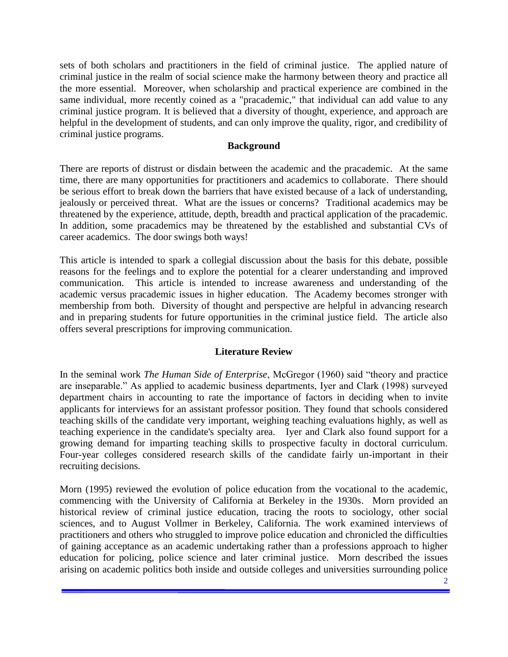sets of both scholars and practitioners in the field of criminal justice. The applied nature of criminal justice in the realm of social science make the harmony between theory and practice all the more essential. Moreover, when scholarship and practical experience are combined in the same individual, more recently coined as a "pracademic," that individual can add value to any criminal justice program. It is believed that a diversity of thought, experience, and approach are helpful in the development of students, and can only improve the quality, rigor, and credibility of criminal justice programs.

#### **Background**

There are reports of distrust or disdain between the academic and the pracademic. At the same time, there are many opportunities for practitioners and academics to collaborate. There should be serious effort to break down the barriers that have existed because of a lack of understanding, jealously or perceived threat. What are the issues or concerns? Traditional academics may be threatened by the experience, attitude, depth, breadth and practical application of the pracademic. In addition, some pracademics may be threatened by the established and substantial CVs of career academics. The door swings both ways!

This article is intended to spark a collegial discussion about the basis for this debate, possible reasons for the feelings and to explore the potential for a clearer understanding and improved communication. This article is intended to increase awareness and understanding of the academic versus pracademic issues in higher education. The Academy becomes stronger with membership from both. Diversity of thought and perspective are helpful in advancing research and in preparing students for future opportunities in the criminal justice field. The article also offers several prescriptions for improving communication.

# **Literature Review**

In the seminal work *The Human Side of Enterprise*, McGregor (1960) said "theory and practice are inseparable." As applied to academic business departments, Iyer and Clark (1998) surveyed department chairs in accounting to rate the importance of factors in deciding when to invite applicants for interviews for an assistant professor position. They found that schools considered teaching skills of the candidate very important, weighing teaching evaluations highly, as well as teaching experience in the candidate's specialty area. Iyer and Clark also found support for a growing demand for imparting teaching skills to prospective faculty in doctoral curriculum. Four-year colleges considered research skills of the candidate fairly un-important in their recruiting decisions.

Morn (1995) reviewed the evolution of police education from the vocational to the academic, commencing with the University of California at Berkeley in the 1930s. Morn provided an historical review of criminal justice education, tracing the roots to sociology, other social sciences, and to August Vollmer in Berkeley, California. The work examined interviews of practitioners and others who struggled to improve police education and chronicled the difficulties of gaining acceptance as an academic undertaking rather than a professions approach to higher education for policing, police science and later criminal justice. Morn described the issues arising on academic politics both inside and outside colleges and universities surrounding police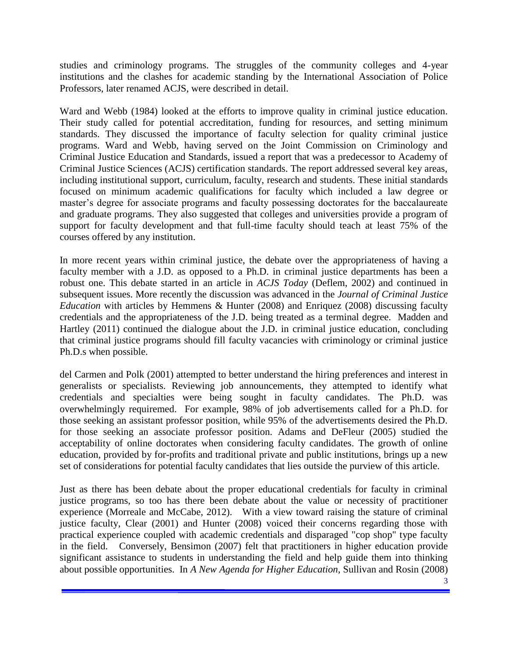studies and criminology programs. The struggles of the community colleges and 4-year institutions and the clashes for academic standing by the International Association of Police Professors, later renamed ACJS, were described in detail.

Ward and Webb (1984) looked at the efforts to improve quality in criminal justice education. Their study called for potential accreditation, funding for resources, and setting minimum standards. They discussed the importance of faculty selection for quality criminal justice programs. Ward and Webb, having served on the Joint Commission on Criminology and Criminal Justice Education and Standards, issued a report that was a predecessor to Academy of Criminal Justice Sciences (ACJS) certification standards. The report addressed several key areas, including institutional support, curriculum, faculty, research and students. These initial standards focused on minimum academic qualifications for faculty which included a law degree or master's degree for associate programs and faculty possessing doctorates for the baccalaureate and graduate programs. They also suggested that colleges and universities provide a program of support for faculty development and that full-time faculty should teach at least 75% of the courses offered by any institution.

In more recent years within criminal justice, the debate over the appropriateness of having a faculty member with a J.D. as opposed to a Ph.D. in criminal justice departments has been a robust one. This debate started in an article in *ACJS Today* (Deflem, 2002) and continued in subsequent issues. More recently the discussion was advanced in the *Journal of Criminal Justice Education* with articles by Hemmens & Hunter (2008) and Enriquez (2008) discussing faculty credentials and the appropriateness of the J.D. being treated as a terminal degree. Madden and Hartley (2011) continued the dialogue about the J.D. in criminal justice education, concluding that criminal justice programs should fill faculty vacancies with criminology or criminal justice Ph.D.s when possible.

del Carmen and Polk (2001) attempted to better understand the hiring preferences and interest in generalists or specialists. Reviewing job announcements, they attempted to identify what credentials and specialties were being sought in faculty candidates. The Ph.D. was overwhelmingly requiremed. For example, 98% of job advertisements called for a Ph.D. for those seeking an assistant professor position, while 95% of the advertisements desired the Ph.D. for those seeking an associate professor position. Adams and DeFleur (2005) studied the acceptability of online doctorates when considering faculty candidates. The growth of online education, provided by for-profits and traditional private and public institutions, brings up a new set of considerations for potential faculty candidates that lies outside the purview of this article.

Just as there has been debate about the proper educational credentials for faculty in criminal justice programs, so too has there been debate about the value or necessity of practitioner experience (Morreale and McCabe, 2012). With a view toward raising the stature of criminal justice faculty, Clear (2001) and Hunter (2008) voiced their concerns regarding those with practical experience coupled with academic credentials and disparaged "cop shop" type faculty in the field. Conversely, Bensimon (2007) felt that practitioners in higher education provide significant assistance to students in understanding the field and help guide them into thinking about possible opportunities. In *A New Agenda for Higher Education*, Sullivan and Rosin (2008)

<sup>3</sup>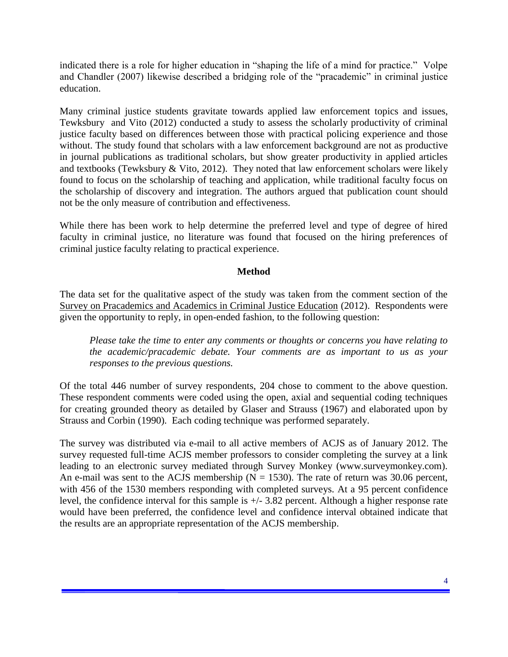indicated there is a role for higher education in "shaping the life of a mind for practice." Volpe and Chandler (2007) likewise described a bridging role of the "pracademic" in criminal justice education.

Many criminal justice students gravitate towards applied law enforcement topics and issues, Tewksbury and Vito (2012) conducted a study to assess the scholarly productivity of criminal justice faculty based on differences between those with practical policing experience and those without. The study found that scholars with a law enforcement background are not as productive in journal publications as traditional scholars, but show greater productivity in applied articles and textbooks (Tewksbury & Vito, 2012). They noted that law enforcement scholars were likely found to focus on the scholarship of teaching and application, while traditional faculty focus on the scholarship of discovery and integration. The authors argued that publication count should not be the only measure of contribution and effectiveness.

While there has been work to help determine the preferred level and type of degree of hired faculty in criminal justice, no literature was found that focused on the hiring preferences of criminal justice faculty relating to practical experience.

# **Method**

The data set for the qualitative aspect of the study was taken from the comment section of the Survey on Pracademics and Academics in Criminal Justice Education (2012). Respondents were given the opportunity to reply, in open-ended fashion, to the following question:

*Please take the time to enter any comments or thoughts or concerns you have relating to the academic/pracademic debate. Your comments are as important to us as your responses to the previous questions.* 

Of the total 446 number of survey respondents, 204 chose to comment to the above question. These respondent comments were coded using the open, axial and sequential coding techniques for creating grounded theory as detailed by Glaser and Strauss (1967) and elaborated upon by Strauss and Corbin (1990). Each coding technique was performed separately.

The survey was distributed via e-mail to all active members of ACJS as of January 2012. The survey requested full-time ACJS member professors to consider completing the survey at a link leading to an electronic survey mediated through Survey Monkey (www.surveymonkey.com). An e-mail was sent to the ACJS membership ( $\overline{N}$  = 1530). The rate of return was 30.06 percent, with 456 of the 1530 members responding with completed surveys. At a 95 percent confidence level, the confidence interval for this sample is +/- 3.82 percent. Although a higher response rate would have been preferred, the confidence level and confidence interval obtained indicate that the results are an appropriate representation of the ACJS membership.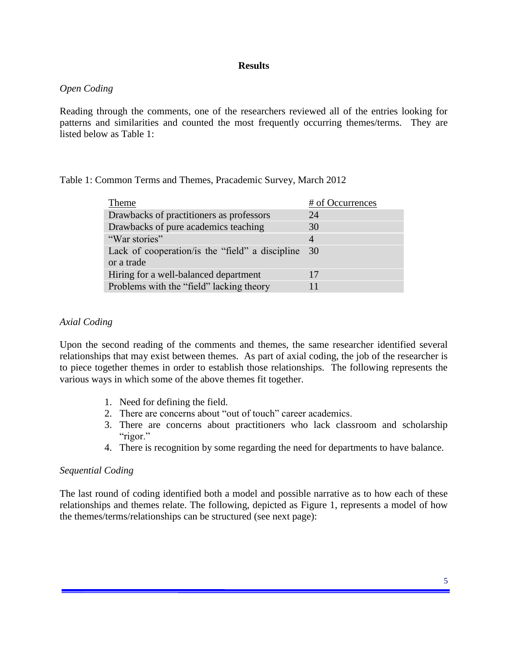#### **Results**

#### *Open Coding*

Reading through the comments, one of the researchers reviewed all of the entries looking for patterns and similarities and counted the most frequently occurring themes/terms. They are listed below as Table 1:

Table 1: Common Terms and Themes, Pracademic Survey, March 2012

| Theme                                           | # of Occurrences |
|-------------------------------------------------|------------------|
| Drawbacks of practitioners as professors        | 24               |
| Drawbacks of pure academics teaching            | 30               |
| "War stories"                                   | 4                |
| Lack of cooperation/is the "field" a discipline | 30               |
| or a trade                                      |                  |
| Hiring for a well-balanced department           | 17               |
| Problems with the "field" lacking theory        | 11               |

#### *Axial Coding*

Upon the second reading of the comments and themes, the same researcher identified several relationships that may exist between themes. As part of axial coding, the job of the researcher is to piece together themes in order to establish those relationships. The following represents the various ways in which some of the above themes fit together.

- 1. Need for defining the field.
- 2. There are concerns about "out of touch" career academics.
- 3. There are concerns about practitioners who lack classroom and scholarship "rigor."
- 4. There is recognition by some regarding the need for departments to have balance.

#### *Sequential Coding*

The last round of coding identified both a model and possible narrative as to how each of these relationships and themes relate. The following, depicted as Figure 1, represents a model of how the themes/terms/relationships can be structured (see next page):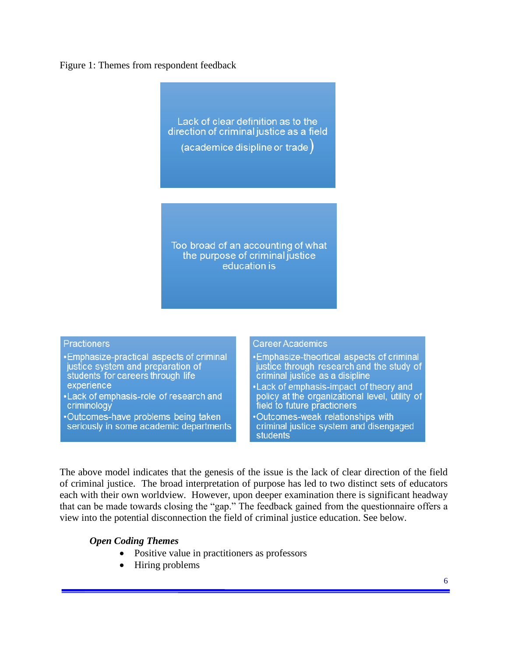#### Figure 1: Themes from respondent feedback

Lack of clear definition as to the direction of criminal justice as a field (academice disipline or trade)

Too broad of an accounting of what the purpose of criminal justice education is

#### **Practioners**

- •Emphasize-practical aspects of criminal justice system and preparation of students for careers through life experience
- •Lack of emphasis-role of research and criminology
- .Outcomes-have problems being taken seriously in some academic departments

#### **Career Academics**

- •Emphasize-theortical aspects of criminal justice through research and the study of criminal justice as a disipline
- •Lack of emphasis-impact of theory and policy at the organizational level, utility of field to future practioners
- Outcomes-weak relationships with criminal justice system and disengaged **students**

The above model indicates that the genesis of the issue is the lack of clear direction of the field of criminal justice. The broad interpretation of purpose has led to two distinct sets of educators each with their own worldview*.* However, upon deeper examination there is significant headway that can be made towards closing the "gap." The feedback gained from the questionnaire offers a view into the potential disconnection the field of criminal justice education. See below.

#### *Open Coding Themes*

- Positive value in practitioners as professors
- Hiring problems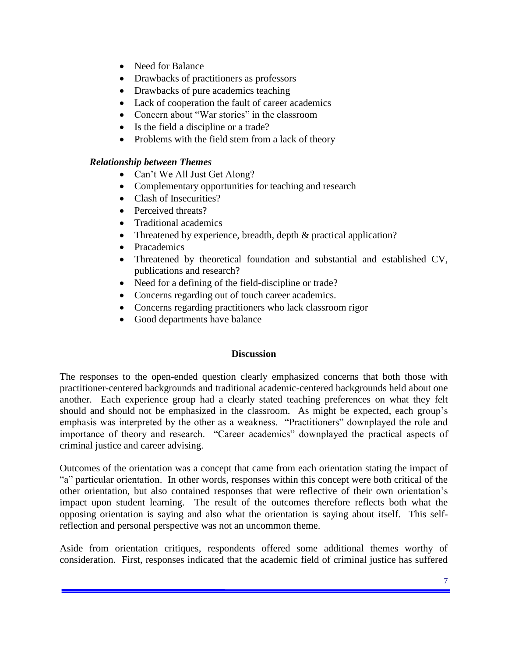- Need for Balance
- Drawbacks of practitioners as professors
- Drawbacks of pure academics teaching
- Lack of cooperation the fault of career academics
- Concern about "War stories" in the classroom
- Is the field a discipline or a trade?
- Problems with the field stem from a lack of theory

# *Relationship between Themes*

- Can't We All Just Get Along?
- Complementary opportunities for teaching and research
- Clash of Insecurities?
- Perceived threats?
- Traditional academics
- Threatened by experience, breadth, depth & practical application?
- Pracademics
- Threatened by theoretical foundation and substantial and established CV, publications and research?
- Need for a defining of the field-discipline or trade?
- Concerns regarding out of touch career academics.
- Concerns regarding practitioners who lack classroom rigor
- Good departments have balance

# **Discussion**

The responses to the open-ended question clearly emphasized concerns that both those with practitioner-centered backgrounds and traditional academic-centered backgrounds held about one another. Each experience group had a clearly stated teaching preferences on what they felt should and should not be emphasized in the classroom. As might be expected, each group's emphasis was interpreted by the other as a weakness. "Practitioners" downplayed the role and importance of theory and research. "Career academics" downplayed the practical aspects of criminal justice and career advising.

Outcomes of the orientation was a concept that came from each orientation stating the impact of "a" particular orientation. In other words, responses within this concept were both critical of the other orientation, but also contained responses that were reflective of their own orientation's impact upon student learning. The result of the outcomes therefore reflects both what the opposing orientation is saying and also what the orientation is saying about itself. This selfreflection and personal perspective was not an uncommon theme.

Aside from orientation critiques, respondents offered some additional themes worthy of consideration. First, responses indicated that the academic field of criminal justice has suffered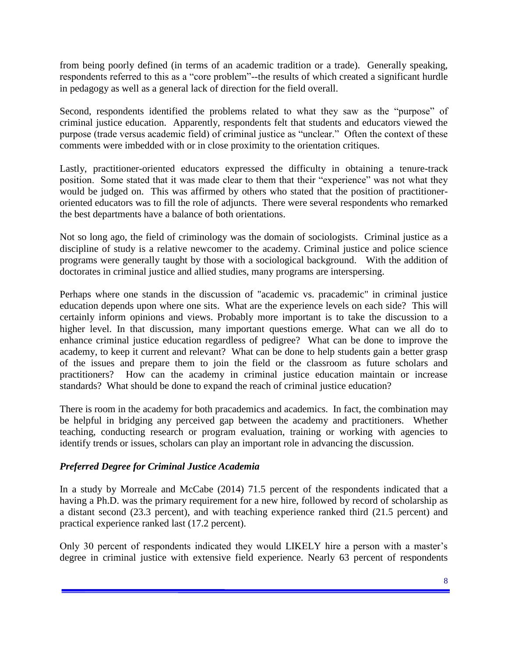from being poorly defined (in terms of an academic tradition or a trade). Generally speaking, respondents referred to this as a "core problem"--the results of which created a significant hurdle in pedagogy as well as a general lack of direction for the field overall.

Second, respondents identified the problems related to what they saw as the "purpose" of criminal justice education. Apparently, respondents felt that students and educators viewed the purpose (trade versus academic field) of criminal justice as "unclear." Often the context of these comments were imbedded with or in close proximity to the orientation critiques.

Lastly, practitioner-oriented educators expressed the difficulty in obtaining a tenure-track position. Some stated that it was made clear to them that their "experience" was not what they would be judged on. This was affirmed by others who stated that the position of practitioneroriented educators was to fill the role of adjuncts. There were several respondents who remarked the best departments have a balance of both orientations.

Not so long ago, the field of criminology was the domain of sociologists. Criminal justice as a discipline of study is a relative newcomer to the academy. Criminal justice and police science programs were generally taught by those with a sociological background. With the addition of doctorates in criminal justice and allied studies, many programs are interspersing.

Perhaps where one stands in the discussion of "academic vs. pracademic" in criminal justice education depends upon where one sits. What are the experience levels on each side? This will certainly inform opinions and views. Probably more important is to take the discussion to a higher level. In that discussion, many important questions emerge. What can we all do to enhance criminal justice education regardless of pedigree? What can be done to improve the academy, to keep it current and relevant? What can be done to help students gain a better grasp of the issues and prepare them to join the field or the classroom as future scholars and practitioners? How can the academy in criminal justice education maintain or increase standards? What should be done to expand the reach of criminal justice education?

There is room in the academy for both pracademics and academics. In fact, the combination may be helpful in bridging any perceived gap between the academy and practitioners. Whether teaching, conducting research or program evaluation, training or working with agencies to identify trends or issues, scholars can play an important role in advancing the discussion.

# *Preferred Degree for Criminal Justice Academia*

In a study by Morreale and McCabe (2014) 71.5 percent of the respondents indicated that a having a Ph.D. was the primary requirement for a new hire, followed by record of scholarship as a distant second (23.3 percent), and with teaching experience ranked third (21.5 percent) and practical experience ranked last (17.2 percent).

Only 30 percent of respondents indicated they would LIKELY hire a person with a master's degree in criminal justice with extensive field experience. Nearly 63 percent of respondents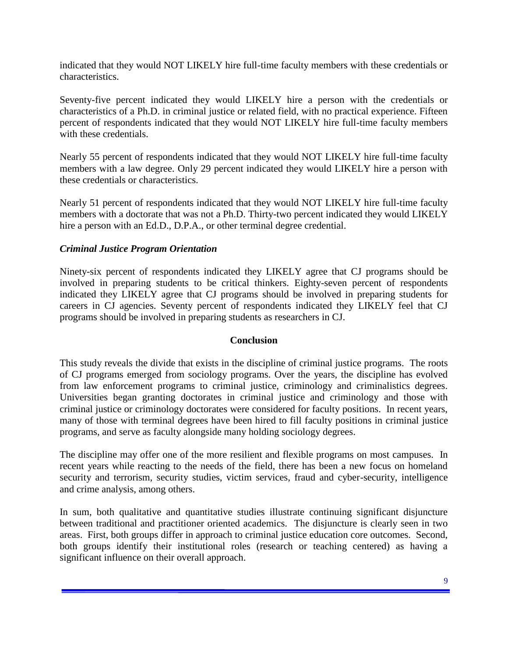indicated that they would NOT LIKELY hire full-time faculty members with these credentials or characteristics.

Seventy-five percent indicated they would LIKELY hire a person with the credentials or characteristics of a Ph.D. in criminal justice or related field, with no practical experience. Fifteen percent of respondents indicated that they would NOT LIKELY hire full-time faculty members with these credentials.

Nearly 55 percent of respondents indicated that they would NOT LIKELY hire full-time faculty members with a law degree. Only 29 percent indicated they would LIKELY hire a person with these credentials or characteristics.

Nearly 51 percent of respondents indicated that they would NOT LIKELY hire full-time faculty members with a doctorate that was not a Ph.D. Thirty-two percent indicated they would LIKELY hire a person with an Ed.D., D.P.A., or other terminal degree credential.

# *Criminal Justice Program Orientation*

Ninety-six percent of respondents indicated they LIKELY agree that CJ programs should be involved in preparing students to be critical thinkers. Eighty-seven percent of respondents indicated they LIKELY agree that CJ programs should be involved in preparing students for careers in CJ agencies. Seventy percent of respondents indicated they LIKELY feel that CJ programs should be involved in preparing students as researchers in CJ.

#### **Conclusion**

This study reveals the divide that exists in the discipline of criminal justice programs. The roots of CJ programs emerged from sociology programs. Over the years, the discipline has evolved from law enforcement programs to criminal justice, criminology and criminalistics degrees. Universities began granting doctorates in criminal justice and criminology and those with criminal justice or criminology doctorates were considered for faculty positions. In recent years, many of those with terminal degrees have been hired to fill faculty positions in criminal justice programs, and serve as faculty alongside many holding sociology degrees.

The discipline may offer one of the more resilient and flexible programs on most campuses. In recent years while reacting to the needs of the field, there has been a new focus on homeland security and terrorism, security studies, victim services, fraud and cyber-security, intelligence and crime analysis, among others.

In sum, both qualitative and quantitative studies illustrate continuing significant disjuncture between traditional and practitioner oriented academics. The disjuncture is clearly seen in two areas. First, both groups differ in approach to criminal justice education core outcomes. Second, both groups identify their institutional roles (research or teaching centered) as having a significant influence on their overall approach.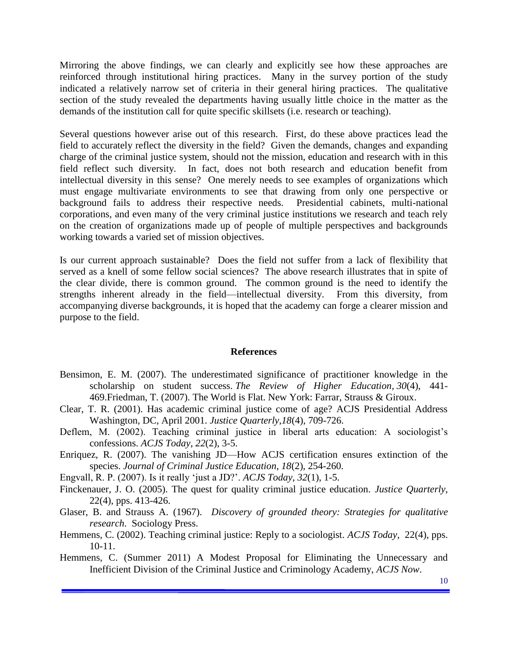Mirroring the above findings, we can clearly and explicitly see how these approaches are reinforced through institutional hiring practices. Many in the survey portion of the study indicated a relatively narrow set of criteria in their general hiring practices. The qualitative section of the study revealed the departments having usually little choice in the matter as the demands of the institution call for quite specific skillsets (i.e. research or teaching).

Several questions however arise out of this research. First, do these above practices lead the field to accurately reflect the diversity in the field? Given the demands, changes and expanding charge of the criminal justice system, should not the mission, education and research with in this field reflect such diversity. In fact, does not both research and education benefit from intellectual diversity in this sense? One merely needs to see examples of organizations which must engage multivariate environments to see that drawing from only one perspective or background fails to address their respective needs. Presidential cabinets, multi-national corporations, and even many of the very criminal justice institutions we research and teach rely on the creation of organizations made up of people of multiple perspectives and backgrounds working towards a varied set of mission objectives.

Is our current approach sustainable? Does the field not suffer from a lack of flexibility that served as a knell of some fellow social sciences? The above research illustrates that in spite of the clear divide, there is common ground. The common ground is the need to identify the strengths inherent already in the field—intellectual diversity. From this diversity, from accompanying diverse backgrounds, it is hoped that the academy can forge a clearer mission and purpose to the field.

#### **References**

- Bensimon, E. M. (2007). The underestimated significance of practitioner knowledge in the scholarship on student success. *The Review of Higher Education*, *30*(4), 441- 469.Friedman, T. (2007). The World is Flat. New York: Farrar, Strauss & Giroux.
- Clear, T. R. (2001). Has academic criminal justice come of age? ACJS Presidential Address Washington, DC, April 2001. *Justice Quarterly*,*18*(4), 709-726.
- Deflem, M. (2002). Teaching criminal justice in liberal arts education: A sociologist's confessions. *ACJS Today*, *22*(2), 3-5.
- Enriquez, R. (2007). The vanishing JD—How ACJS certification ensures extinction of the species. *Journal of Criminal Justice Education*, *18*(2), 254-260.
- Engvall, R. P. (2007). Is it really 'just a JD?'. *ACJS Today*, *32*(1), 1-5.
- Finckenauer, J. O. (2005). The quest for quality criminal justice education. *Justice Quarterly*, 22(4), pps. 413-426.
- Glaser, B. and Strauss A. (1967). *Discovery of grounded theory: Strategies for qualitative research*. Sociology Press.
- Hemmens, C. (2002). Teaching criminal justice: Reply to a sociologist. *ACJS Today*, 22(4), pps. 10-11.
- Hemmens, C. (Summer 2011) A Modest Proposal for Eliminating the Unnecessary and Inefficient Division of the Criminal Justice and Criminology Academy, *ACJS Now*.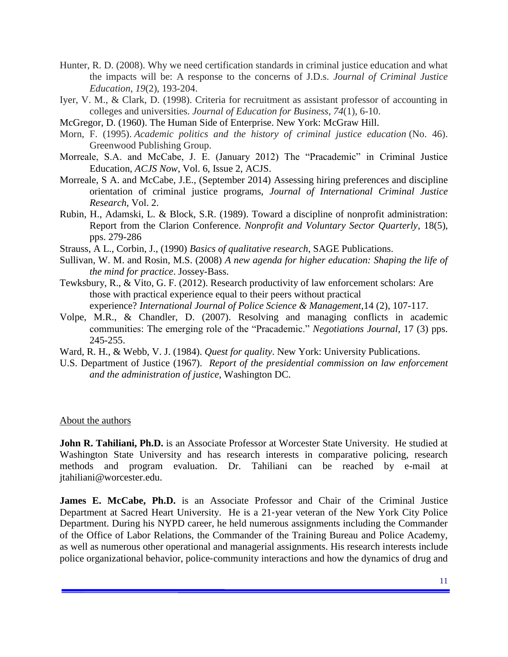- Hunter, R. D. (2008). Why we need certification standards in criminal justice education and what the impacts will be: A response to the concerns of J.D.s. *Journal of Criminal Justice Education*, *19*(2), 193-204.
- Iyer, V. M., & Clark, D. (1998). Criteria for recruitment as assistant professor of accounting in colleges and universities. *Journal of Education for Business*, *74*(1), 6-10.
- McGregor, D. (1960). The Human Side of Enterprise. New York: McGraw Hill.
- Morn, F. (1995). *Academic politics and the history of criminal justice education* (No. 46). Greenwood Publishing Group.
- Morreale, S.A. and McCabe, J. E. (January 2012) The "Pracademic" in Criminal Justice Education, *ACJS Now*, Vol. 6, Issue 2, ACJS.
- Morreale, S A. and McCabe, J.E., (September 2014) Assessing hiring preferences and discipline orientation of criminal justice programs, *Journal of International Criminal Justice Research*, Vol. 2.
- Rubin, H., Adamski, L. & Block, S.R. (1989). Toward a discipline of nonprofit administration: Report from the Clarion Conference. *Nonprofit and Voluntary Sector Quarterly*, 18(5), pps. 279-286
- Strauss, A L., Corbin, J., (1990) *Basics of qualitative research*, SAGE Publications.
- Sullivan, W. M. and Rosin, M.S. (2008) *A new agenda for higher education: Shaping the life of the mind for practice*. Jossey-Bass.
- Tewksbury, R., & Vito, G. F. (2012). Research productivity of law enforcement scholars: Are those with practical experience equal to their peers without practical experience? *International Journal of Police Science & Management*,14 (2), 107-117.
- Volpe, M.R., & Chandler, D. (2007). Resolving and managing conflicts in academic communities: The emerging role of the "Pracademic." *Negotiations Journal*, 17 (3) pps. 245-255.
- Ward, R. H., & Webb, V. J. (1984). *Quest for quality*. New York: University Publications.
- U.S. Department of Justice (1967). *Report of the presidential commission on law enforcement and the administration of justice*, Washington DC.

#### About the authors

**John R. Tahiliani, Ph.D.** is an Associate Professor at Worcester State University. He studied at Washington State University and has research interests in comparative policing, research methods and program evaluation. Dr. Tahiliani can be reached by e-mail at jtahiliani@worcester.edu.

**James E. McCabe, Ph.D.** is an Associate Professor and Chair of the Criminal Justice Department at Sacred Heart University. He is a 21‐year veteran of the New York City Police Department. During his NYPD career, he held numerous assignments including the Commander of the Office of Labor Relations, the Commander of the Training Bureau and Police Academy, as well as numerous other operational and managerial assignments. His research interests include police organizational behavior, police‐community interactions and how the dynamics of drug and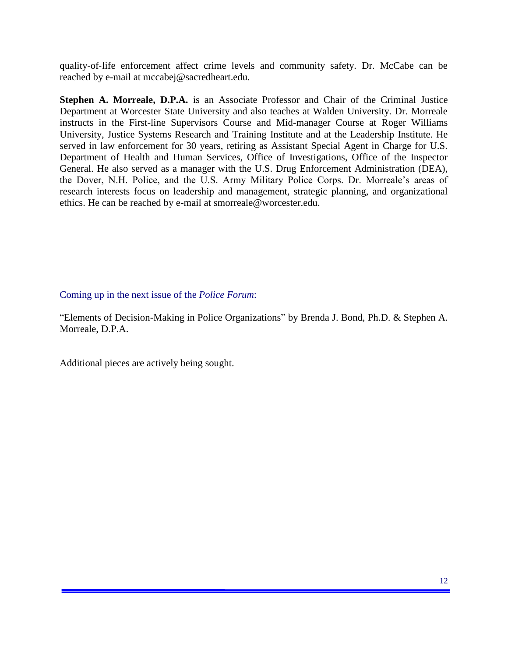quality‐of‐life enforcement affect crime levels and community safety. Dr. McCabe can be reached by e-mail at mccabej@sacredheart.edu.

**Stephen A. Morreale, D.P.A.** is an Associate Professor and Chair of the Criminal Justice Department at Worcester State University and also teaches at Walden University. Dr. Morreale instructs in the First-line Supervisors Course and Mid-manager Course at Roger Williams University, Justice Systems Research and Training Institute and at the Leadership Institute. He served in law enforcement for 30 years, retiring as Assistant Special Agent in Charge for U.S. Department of Health and Human Services, Office of Investigations, Office of the Inspector General. He also served as a manager with the U.S. Drug Enforcement Administration (DEA), the Dover, N.H. Police, and the U.S. Army Military Police Corps. Dr. Morreale's areas of research interests focus on leadership and management, strategic planning, and organizational ethics. He can be reached by e-mail at smorreale@worcester.edu.

#### Coming up in the next issue of the *Police Forum*:

"Elements of Decision-Making in Police Organizations" by Brenda J. Bond, Ph.D. & Stephen A. Morreale, D.P.A.

Additional pieces are actively being sought.